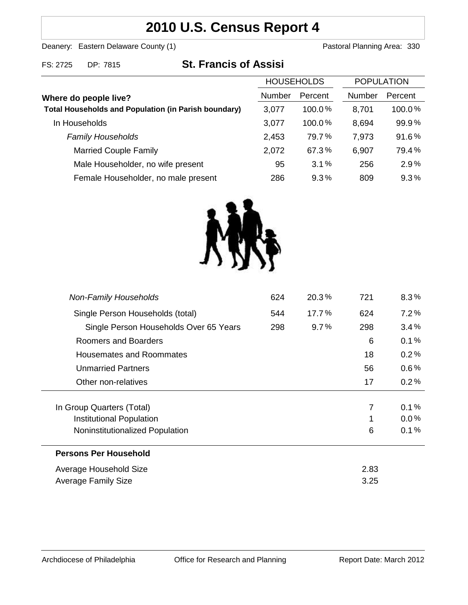## **2010 U.S. Census Report 4**

Deanery: Eastern Delaware County (1) Deanery: Eastern Delaware County (1)

| FS: 2725 | DP: 7815 |  |
|----------|----------|--|

# 815 **St. Francis of Assisi**

|                                                             | <b>HOUSEHOLDS</b> |           | <b>POPULATION</b> |         |
|-------------------------------------------------------------|-------------------|-----------|-------------------|---------|
| Where do people live?                                       | <b>Number</b>     | Percent   | <b>Number</b>     | Percent |
| <b>Total Households and Population (in Parish boundary)</b> | 3,077             | $100.0\%$ | 8,701             | 100.0%  |
| In Households                                               | 3,077             | 100.0%    | 8,694             | 99.9%   |
| <b>Family Households</b>                                    | 2,453             | 79.7%     | 7,973             | 91.6%   |
| <b>Married Couple Family</b>                                | 2,072             | 67.3%     | 6,907             | 79.4%   |
| Male Householder, no wife present                           | 95                | 3.1%      | 256               | 2.9%    |
| Female Householder, no male present                         | 286               | 9.3%      | 809               | 9.3%    |



| <b>Non-Family Households</b>           | 624 | $20.3\%$ | 721  | $8.3\%$ |
|----------------------------------------|-----|----------|------|---------|
| Single Person Households (total)       | 544 | 17.7%    | 624  | 7.2%    |
| Single Person Households Over 65 Years | 298 | $9.7\%$  | 298  | 3.4%    |
| Roomers and Boarders                   |     |          | 6    | 0.1%    |
| Housemates and Roommates               |     |          | 18   | 0.2%    |
| <b>Unmarried Partners</b>              |     |          | 56   | $0.6\%$ |
| Other non-relatives                    |     |          | 17   | 0.2%    |
|                                        |     |          |      |         |
| In Group Quarters (Total)              |     |          | 7    | 0.1%    |
| Institutional Population               |     |          |      | $0.0\%$ |
| Noninstitutionalized Population        |     |          | 6    | 0.1%    |
| <b>Persons Per Household</b>           |     |          |      |         |
| Average Household Size                 |     |          | 2.83 |         |
| <b>Average Family Size</b>             |     | 3.25     |      |         |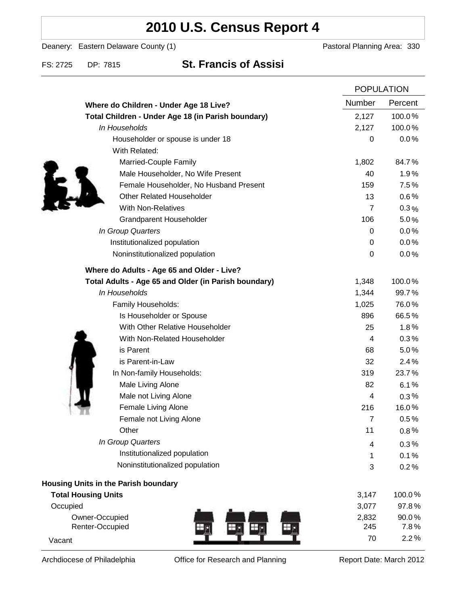## **2010 U.S. Census Report 4**

Deanery: Eastern Delaware County (1) Deanery: Eastern Delaware County (1)

### FS: 2725 DP: 7815 **St. Francis of Assisi**

|                                                      |                | <b>POPULATION</b> |  |
|------------------------------------------------------|----------------|-------------------|--|
| Where do Children - Under Age 18 Live?               | Number         | Percent           |  |
| Total Children - Under Age 18 (in Parish boundary)   | 2,127          | 100.0%            |  |
| In Households                                        | 2,127          | 100.0%            |  |
| Householder or spouse is under 18                    | 0              | 0.0%              |  |
| With Related:                                        |                |                   |  |
| Married-Couple Family                                | 1,802          | 84.7%             |  |
| Male Householder, No Wife Present                    | 40             | 1.9%              |  |
| Female Householder, No Husband Present               | 159            | 7.5%              |  |
| <b>Other Related Householder</b>                     | 13             | 0.6%              |  |
| <b>With Non-Relatives</b>                            | $\overline{7}$ | $0.3\%$           |  |
| <b>Grandparent Householder</b>                       | 106            | 5.0%              |  |
| In Group Quarters                                    | 0              | 0.0%              |  |
| Institutionalized population                         | 0              | 0.0%              |  |
| Noninstitutionalized population                      | 0              | 0.0%              |  |
| Where do Adults - Age 65 and Older - Live?           |                |                   |  |
| Total Adults - Age 65 and Older (in Parish boundary) | 1,348          | 100.0%            |  |
| In Households                                        | 1,344          | 99.7%             |  |
| Family Households:                                   | 1,025          | 76.0%             |  |
| Is Householder or Spouse                             | 896            | 66.5%             |  |
| With Other Relative Householder                      | 25             | 1.8%              |  |
| With Non-Related Householder                         | 4              | 0.3%              |  |
| is Parent                                            | 68             | 5.0%              |  |
| is Parent-in-Law                                     | 32             | 2.4%              |  |
| In Non-family Households:                            | 319            | 23.7%             |  |
| Male Living Alone                                    | 82             | 6.1%              |  |
| Male not Living Alone                                | 4              | $0.3\%$           |  |
| Female Living Alone                                  | 216            | 16.0%             |  |
| Female not Living Alone                              | 7              | $0.5\%$           |  |
| Other                                                | 11             | 0.8%              |  |
| In Group Quarters                                    | 4              | 0.3%              |  |
| Institutionalized population                         | 1              | 0.1%              |  |
| Noninstitutionalized population                      | 3              | 0.2%              |  |
| <b>Housing Units in the Parish boundary</b>          |                |                   |  |
| <b>Total Housing Units</b>                           | 3,147          | 100.0%            |  |
| Occupied                                             | 3,077          | 97.8%             |  |
| Owner-Occupied                                       | 2,832          | 90.0%             |  |
| Renter-Occupied                                      | 245            | 7.8%              |  |
| Vacant                                               | 70             | 2.2%              |  |

Archdiocese of Philadelphia **Office for Research and Planning** Report Date: March 2012